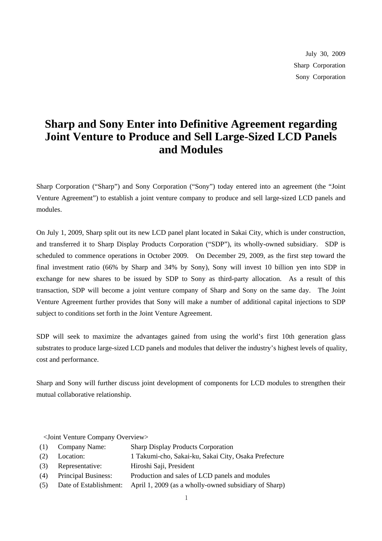July 30, 2009 Sharp Corporation Sony Corporation

## **Sharp and Sony Enter into Definitive Agreement regarding Joint Venture to Produce and Sell Large-Sized LCD Panels and Modules**

Sharp Corporation ("Sharp") and Sony Corporation ("Sony") today entered into an agreement (the "Joint Venture Agreement") to establish a joint venture company to produce and sell large-sized LCD panels and modules.

On July 1, 2009, Sharp split out its new LCD panel plant located in Sakai City, which is under construction, and transferred it to Sharp Display Products Corporation ("SDP"), its wholly-owned subsidiary. SDP is scheduled to commence operations in October 2009. On December 29, 2009, as the first step toward the final investment ratio (66% by Sharp and 34% by Sony), Sony will invest 10 billion yen into SDP in exchange for new shares to be issued by SDP to Sony as third-party allocation. As a result of this transaction, SDP will become a joint venture company of Sharp and Sony on the same day. The Joint Venture Agreement further provides that Sony will make a number of additional capital injections to SDP subject to conditions set forth in the Joint Venture Agreement.

SDP will seek to maximize the advantages gained from using the world's first 10th generation glass substrates to produce large-sized LCD panels and modules that deliver the industry's highest levels of quality, cost and performance.

Sharp and Sony will further discuss joint development of components for LCD modules to strengthen their mutual collaborative relationship.

<Joint Venture Company Overview>

- (1) Company Name: Sharp Display Products Corporation
- (2) Location: 1 Takumi-cho, Sakai-ku, Sakai City, Osaka Prefecture
- (3) Representative: Hiroshi Saji, President
- (4) Principal Business: Production and sales of LCD panels and modules
- (5) Date of Establishment: April 1, 2009 (as a wholly-owned subsidiary of Sharp)